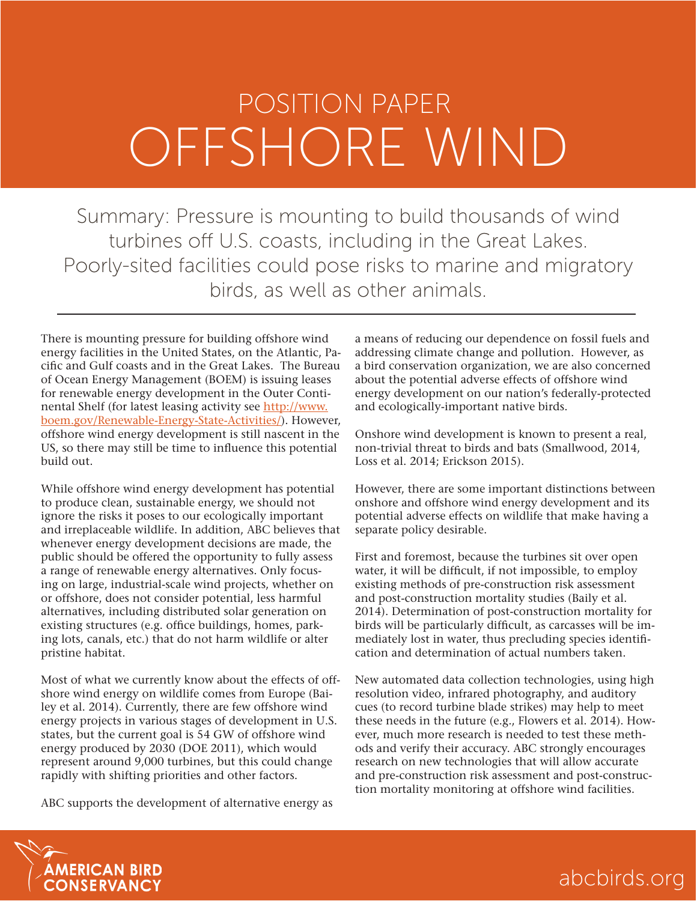# POSITION PAPER OFFSHORE WIND

Summary: Pressure is mounting to build thousands of wind turbines off U.S. coasts, including in the Great Lakes. Poorly-sited facilities could pose risks to marine and migratory birds, as well as other animals.

There is mounting pressure for building offshore wind energy facilities in the United States, on the Atlantic, Pacific and Gulf coasts and in the Great Lakes. The Bureau of Ocean Energy Management (BOEM) is issuing leases for renewable energy development in the Outer Continental Shelf (for latest leasing activity see http://www. boem.gov/Renewable-Energy-State-Activities/). However, offshore wind energy development is still nascent in the US, so there may still be time to influence this potential build out.

While offshore wind energy development has potential to produce clean, sustainable energy, we should not ignore the risks it poses to our ecologically important and irreplaceable wildlife. In addition, ABC believes that whenever energy development decisions are made, the public should be offered the opportunity to fully assess a range of renewable energy alternatives. Only focusing on large, industrial-scale wind projects, whether on or offshore, does not consider potential, less harmful alternatives, including distributed solar generation on existing structures (e.g. office buildings, homes, parking lots, canals, etc.) that do not harm wildlife or alter pristine habitat.

Most of what we currently know about the effects of offshore wind energy on wildlife comes from Europe (Bailey et al. 2014). Currently, there are few offshore wind energy projects in various stages of development in U.S. states, but the current goal is 54 GW of offshore wind energy produced by 2030 (DOE 2011), which would represent around 9,000 turbines, but this could change rapidly with shifting priorities and other factors.

ABC supports the development of alternative energy as

a means of reducing our dependence on fossil fuels and addressing climate change and pollution. However, as a bird conservation organization, we are also concerned about the potential adverse effects of offshore wind energy development on our nation's federally-protected and ecologically-important native birds.

Onshore wind development is known to present a real, non-trivial threat to birds and bats (Smallwood, 2014, Loss et al. 2014; Erickson 2015).

However, there are some important distinctions between onshore and offshore wind energy development and its potential adverse effects on wildlife that make having a separate policy desirable.

First and foremost, because the turbines sit over open water, it will be difficult, if not impossible, to employ existing methods of pre-construction risk assessment and post-construction mortality studies (Baily et al. 2014). Determination of post-construction mortality for birds will be particularly difficult, as carcasses will be immediately lost in water, thus precluding species identification and determination of actual numbers taken.

New automated data collection technologies, using high resolution video, infrared photography, and auditory cues (to record turbine blade strikes) may help to meet these needs in the future (e.g., Flowers et al. 2014). However, much more research is needed to test these methods and verify their accuracy. ABC strongly encourages research on new technologies that will allow accurate and pre-construction risk assessment and post-construction mortality monitoring at offshore wind facilities.



### abcbirds.org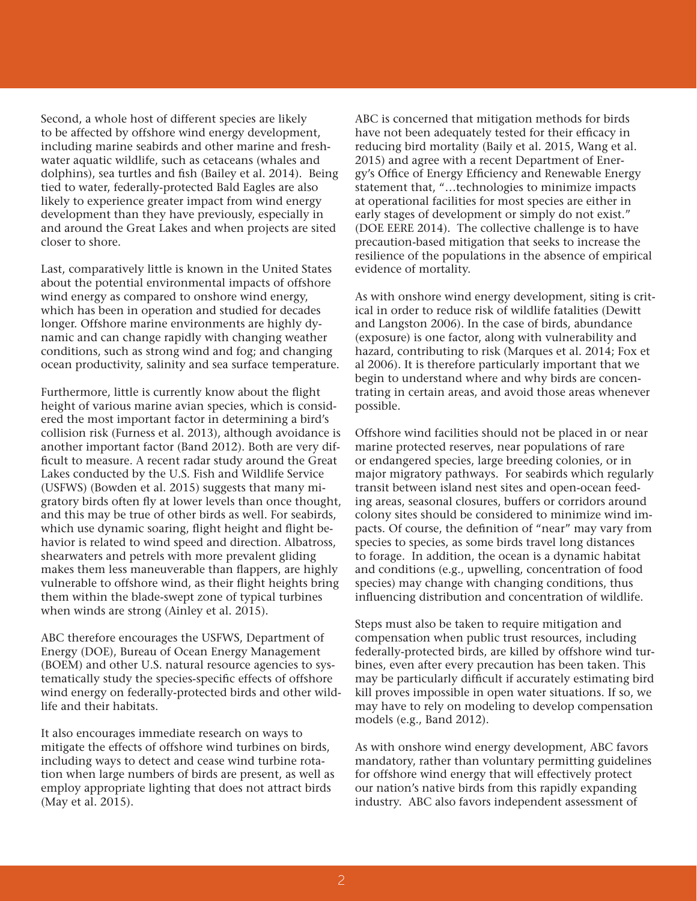Second, a whole host of different species are likely to be affected by offshore wind energy development, including marine seabirds and other marine and freshwater aquatic wildlife, such as cetaceans (whales and dolphins), sea turtles and fish (Bailey et al. 2014). Being tied to water, federally-protected Bald Eagles are also likely to experience greater impact from wind energy development than they have previously, especially in and around the Great Lakes and when projects are sited closer to shore.

Last, comparatively little is known in the United States about the potential environmental impacts of offshore wind energy as compared to onshore wind energy, which has been in operation and studied for decades longer. Offshore marine environments are highly dynamic and can change rapidly with changing weather conditions, such as strong wind and fog; and changing ocean productivity, salinity and sea surface temperature.

Furthermore, little is currently know about the flight height of various marine avian species, which is considered the most important factor in determining a bird's collision risk (Furness et al. 2013), although avoidance is another important factor (Band 2012). Both are very difficult to measure. A recent radar study around the Great Lakes conducted by the U.S. Fish and Wildlife Service (USFWS) (Bowden et al. 2015) suggests that many migratory birds often fly at lower levels than once thought, and this may be true of other birds as well. For seabirds, which use dynamic soaring, flight height and flight behavior is related to wind speed and direction. Albatross, shearwaters and petrels with more prevalent gliding makes them less maneuverable than flappers, are highly vulnerable to offshore wind, as their flight heights bring them within the blade-swept zone of typical turbines when winds are strong (Ainley et al. 2015).

ABC therefore encourages the USFWS, Department of Energy (DOE), Bureau of Ocean Energy Management (BOEM) and other U.S. natural resource agencies to systematically study the species-specific effects of offshore wind energy on federally-protected birds and other wildlife and their habitats.

It also encourages immediate research on ways to mitigate the effects of offshore wind turbines on birds, including ways to detect and cease wind turbine rotation when large numbers of birds are present, as well as employ appropriate lighting that does not attract birds (May et al. 2015).

ABC is concerned that mitigation methods for birds have not been adequately tested for their efficacy in reducing bird mortality (Baily et al. 2015, Wang et al. 2015) and agree with a recent Department of Energy's Office of Energy Efficiency and Renewable Energy statement that, "…technologies to minimize impacts at operational facilities for most species are either in early stages of development or simply do not exist." (DOE EERE 2014). The collective challenge is to have precaution-based mitigation that seeks to increase the resilience of the populations in the absence of empirical evidence of mortality.

As with onshore wind energy development, siting is critical in order to reduce risk of wildlife fatalities (Dewitt and Langston 2006). In the case of birds, abundance (exposure) is one factor, along with vulnerability and hazard, contributing to risk (Marques et al. 2014; Fox et al 2006). It is therefore particularly important that we begin to understand where and why birds are concentrating in certain areas, and avoid those areas whenever possible.

Offshore wind facilities should not be placed in or near marine protected reserves, near populations of rare or endangered species, large breeding colonies, or in major migratory pathways. For seabirds which regularly transit between island nest sites and open-ocean feeding areas, seasonal closures, buffers or corridors around colony sites should be considered to minimize wind impacts. Of course, the definition of "near" may vary from species to species, as some birds travel long distances to forage. In addition, the ocean is a dynamic habitat and conditions (e.g., upwelling, concentration of food species) may change with changing conditions, thus influencing distribution and concentration of wildlife.

Steps must also be taken to require mitigation and compensation when public trust resources, including federally-protected birds, are killed by offshore wind turbines, even after every precaution has been taken. This may be particularly difficult if accurately estimating bird kill proves impossible in open water situations. If so, we may have to rely on modeling to develop compensation models (e.g., Band 2012).

As with onshore wind energy development, ABC favors mandatory, rather than voluntary permitting guidelines for offshore wind energy that will effectively protect our nation's native birds from this rapidly expanding industry. ABC also favors independent assessment of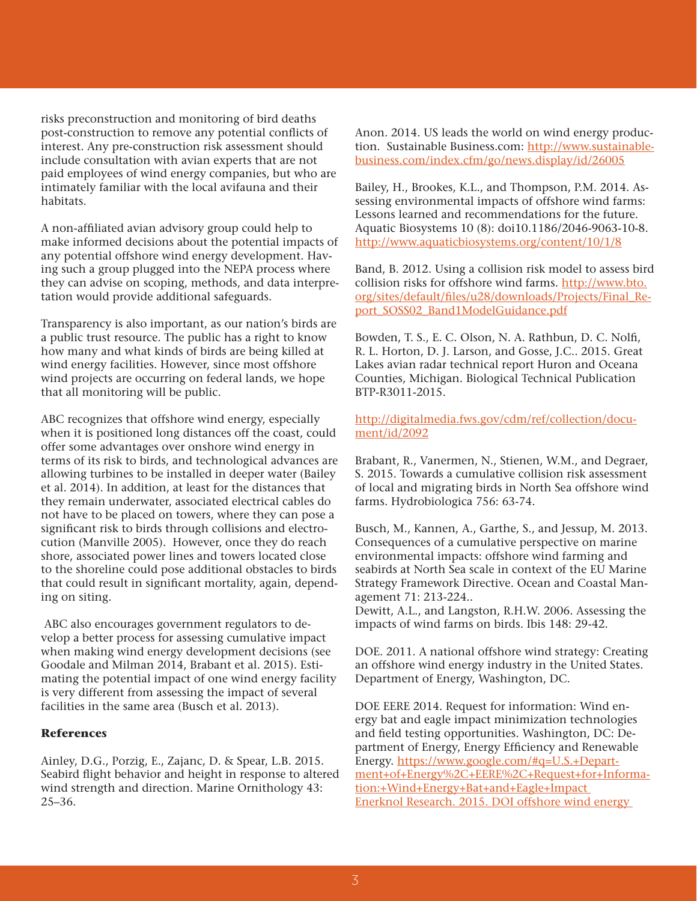risks preconstruction and monitoring of bird deaths post-construction to remove any potential conflicts of interest. Any pre-construction risk assessment should include consultation with avian experts that are not paid employees of wind energy companies, but who are intimately familiar with the local avifauna and their habitats.

A non-affiliated avian advisory group could help to make informed decisions about the potential impacts of any potential offshore wind energy development. Having such a group plugged into the NEPA process where they can advise on scoping, methods, and data interpretation would provide additional safeguards.

Transparency is also important, as our nation's birds are a public trust resource. The public has a right to know how many and what kinds of birds are being killed at wind energy facilities. However, since most offshore wind projects are occurring on federal lands, we hope that all monitoring will be public.

ABC recognizes that offshore wind energy, especially when it is positioned long distances off the coast, could offer some advantages over onshore wind energy in terms of its risk to birds, and technological advances are allowing turbines to be installed in deeper water (Bailey et al. 2014). In addition, at least for the distances that they remain underwater, associated electrical cables do not have to be placed on towers, where they can pose a significant risk to birds through collisions and electrocution (Manville 2005). However, once they do reach shore, associated power lines and towers located close to the shoreline could pose additional obstacles to birds that could result in significant mortality, again, depending on siting.

 ABC also encourages government regulators to develop a better process for assessing cumulative impact when making wind energy development decisions (see Goodale and Milman 2014, Brabant et al. 2015). Estimating the potential impact of one wind energy facility is very different from assessing the impact of several facilities in the same area (Busch et al. 2013).

#### **References**

Ainley, D.G., Porzig, E., Zajanc, D. & Spear, L.B. 2015. Seabird flight behavior and height in response to altered wind strength and direction. Marine Ornithology 43: 25–36.

Anon. 2014. US leads the world on wind energy production. Sustainable Business.com: http://www.sustainablebusiness.com/index.cfm/go/news.display/id/26005

Bailey, H., Brookes, K.L., and Thompson, P.M. 2014. Assessing environmental impacts of offshore wind farms: Lessons learned and recommendations for the future. Aquatic Biosystems 10 (8): doi10.1186/2046-9063-10-8. http://www.aquaticbiosystems.org/content/10/1/8

Band, B. 2012. Using a collision risk model to assess bird collision risks for offshore wind farms. http://www.bto. org/sites/default/files/u28/downloads/Projects/Final\_Report\_SOSS02\_Band1ModelGuidance.pdf

Bowden, T. S., E. C. Olson, N. A. Rathbun, D. C. Nolfi, R. L. Horton, D. J. Larson, and Gosse, J.C.. 2015. Great Lakes avian radar technical report Huron and Oceana Counties, Michigan. Biological Technical Publication BTP-R3011-2015.

#### http://digitalmedia.fws.gov/cdm/ref/collection/document/id/2092

Brabant, R., Vanermen, N., Stienen, W.M., and Degraer, S. 2015. Towards a cumulative collision risk assessment of local and migrating birds in North Sea offshore wind farms. Hydrobiologica 756: 63-74.

Busch, M., Kannen, A., Garthe, S., and Jessup, M. 2013. Consequences of a cumulative perspective on marine environmental impacts: offshore wind farming and seabirds at North Sea scale in context of the EU Marine Strategy Framework Directive. Ocean and Coastal Management 71: 213-224..

Dewitt, A.L., and Langston, R.H.W. 2006. Assessing the impacts of wind farms on birds. Ibis 148: 29-42.

DOE. 2011. A national offshore wind strategy: Creating an offshore wind energy industry in the United States. Department of Energy, Washington, DC.

DOE EERE 2014. Request for information: Wind energy bat and eagle impact minimization technologies and field testing opportunities. Washington, DC: Department of Energy, Energy Efficiency and Renewable Energy. https://www.google.com/#q=U.S.+Department+of+Energy%2C+EERE%2C+Request+for+Information:+Wind+Energy+Bat+and+Eagle+Impact Enerknol Research. 2015. DOI offshore wind energy